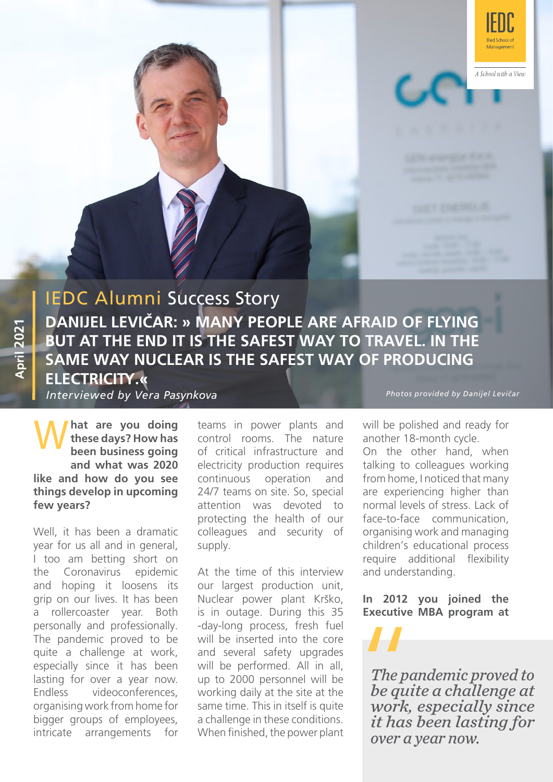

A School with a View

# IEDC Alumni Success Story **DANIJEL LEVIČAR: » MANY PEOPLE ARE AFRAID OF FLYING BUT AT THE END IT IS THE SAFEST WAY TO TRAVEL. IN THE SAME WAY NUCLEAR IS THE SAFEST WAY OF PRODUCING ELECTRICITY.«**

*Interviewed by Vera Pasynkova*

What are you doing teams in power plants and<br>these days? How has control rooms. The nature<br>been business going of critical infrastructure and **hat are you doing these days? How has been business going and what was 2020 like and how do you see things develop in upcoming few years?**

Well, it has been a dramatic year for us all and in general, I too am betting short on the Coronavirus epidemic and hoping it loosens its grip on our lives. It has been a rollercoaster year. Both personally and professionally. The pandemic proved to be quite a challenge at work, especially since it has been lasting for over a year now. Endless videoconferences, organising work from home for bigger groups of employees, intricate arrangements for

control rooms. The nature of critical infrastructure and electricity production requires continuous operation and 24/7 teams on site. So, special attention was devoted to protecting the health of our colleagues and security of supply.

At the time of this interview our largest production unit, Nuclear power plant Krško, is in outage. During this 35 -day-long process, fresh fuel will be inserted into the core and several safety upgrades will be performed. All in all, up to 2000 personnel will be working daily at the site at the same time. This in itself is quite a challenge in these conditions. When finished, the power plant *Photos provided by Danijel Levičar*

will be polished and ready for another 18-month cycle. On the other hand, when talking to colleagues working from home, I noticed that many are experiencing higher than normal levels of stress. Lack of face-to-face communication, organising work and managing children's educational process require additional flexibility and understanding.

**In 2012 you joined the Executive MBA program at** 

*The pandemic proved to be quite a challenge at work, especially since it has been lasting for over a year now. The pa<br>The pa<br>be qui<br>work,<br>it has*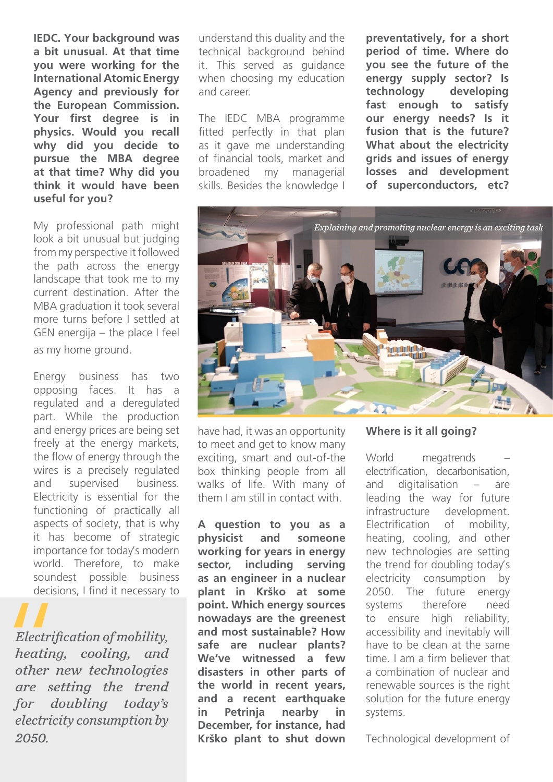**IEDC. Your background was a bit unusual. At that time you were working for the International Atomic Energy Agency and previously for the European Commission. Your first degree is in physics. Would you recall why did you decide to pursue the MBA degree at that time? Why did you think it would have been useful for you?** 

My professional path might look a bit unusual but judging from my perspective it followed the path across the energy landscape that took me to my current destination. After the MBA graduation it took several more turns before I settled at GEN energija – the place I feel as my home ground.

Energy business has two opposing faces. It has a regulated and a deregulated part. While the production and energy prices are being set freely at the energy markets, the flow of energy through the wires is a precisely regulated and supervised business. Electricity is essential for the functioning of practically all aspects of society, that is why it has become of strategic importance for today's modern world. Therefore, to make soundest possible business decisions, I find it necessary to

*Electrification of mobility, heating, cooling, and other new technologies are setting the trend for doubling today's electricity consumption by 2050.*  Electrifi<br>
Electrifi<br>
heating<br>
other n<br>
are set

understand this duality and the technical background behind it. This served as guidance when choosing my education and career.

The IEDC MBA programme fitted perfectly in that plan as it gave me understanding of financial tools, market and broadened my managerial skills. Besides the knowledge I

**preventatively, for a short period of time. Where do you see the future of the energy supply sector? Is technology developing fast enough to satisfy our energy needs? Is it fusion that is the future? What about the electricity grids and issues of energy losses and development of superconductors, etc?** 



have had, it was an opportunity to meet and get to know many exciting, smart and out-of-the box thinking people from all walks of life. With many of them I am still in contact with.

**A question to you as a physicist and someone working for years in energy sector, including serving as an engineer in a nuclear plant in Krško at some point. Which energy sources nowadays are the greenest and most sustainable? How safe are nuclear plants? We've witnessed a few disasters in other parts of the world in recent years, and a recent earthquake in Petrinja nearby in December, for instance, had Krško plant to shut down** 

#### **Where is it all going?**

World megatrends electrification, decarbonisation, and digitalisation – are leading the way for future infrastructure development. Electrification of mobility, heating, cooling, and other new technologies are setting the trend for doubling today's electricity consumption by 2050. The future energy systems therefore need to ensure high reliability, accessibility and inevitably will have to be clean at the same time. I am a firm believer that a combination of nuclear and renewable sources is the right solution for the future energy systems.

Technological development of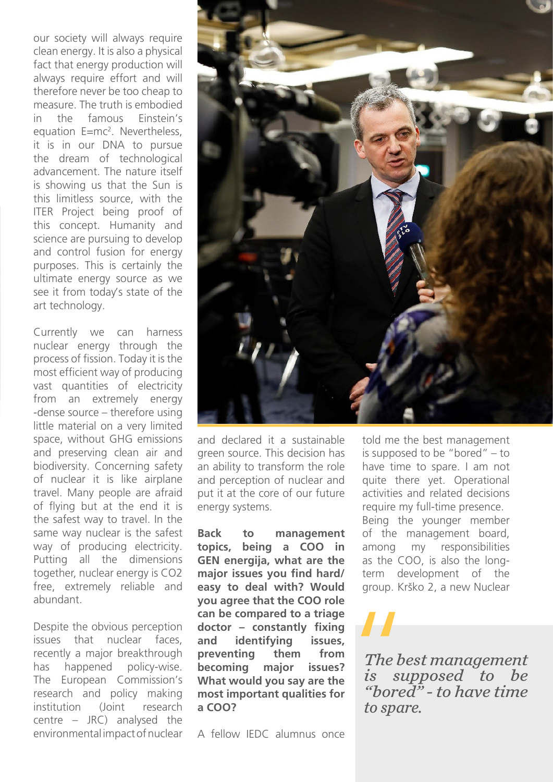our society will always require clean energy. It is also a physical fact that energy production will always require effort and will therefore never be too cheap to measure. The truth is embodied in the famous Einstein's equation E=mc<sup>2</sup>. Nevertheless, it is in our DNA to pursue the dream of technological advancement. The nature itself is showing us that the Sun is this limitless source, with the ITER Project being proof of this concept. Humanity and science are pursuing to develop and control fusion for energy purposes. This is certainly the ultimate energy source as we see it from today's state of the art technology.

Currently we can harness nuclear energy through the process of fission. Today it is the most efficient way of producing vast quantities of electricity from an extremely energy -dense source – therefore using little material on a very limited space, without GHG emissions and preserving clean air and biodiversity. Concerning safety of nuclear it is like airplane travel. Many people are afraid of flying but at the end it is the safest way to travel. In the same way nuclear is the safest way of producing electricity. Putting all the dimensions together, nuclear energy is CO2 free, extremely reliable and abundant.

Despite the obvious perception issues that nuclear faces, recently a major breakthrough has happened policy-wise. The European Commission's research and policy making institution (Joint research centre – JRC) analysed the environmental impact of nuclear



and declared it a sustainable green source. This decision has an ability to transform the role and perception of nuclear and put it at the core of our future energy systems.

**Back to management topics, being a COO in GEN energija, what are the major issues you find hard/ easy to deal with? Would you agree that the COO role can be compared to a triage doctor – constantly fixing and identifying issues, preventing them from becoming major issues? What would you say are the most important qualities for a COO?**

A fellow IEDC alumnus once

told me the best management is supposed to be "bored" – to have time to spare. I am not quite there yet. Operational activities and related decisions require my full-time presence. Being the younger member of the management board, among my responsibilities as the COO, is also the longterm development of the group. Krško 2, a new Nuclear

*The best management is supposed to be "bored" - to have time*  The beau<br>
The beau<br>
"bored"<br>
to span *to spare.*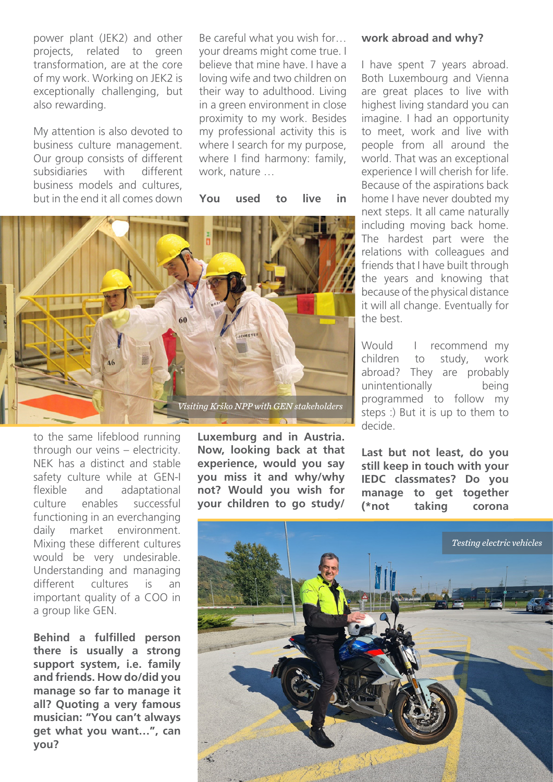power plant (JEK2) and other projects, related to green transformation, are at the core of my work. Working on JEK2 is exceptionally challenging, but also rewarding.

My attention is also devoted to business culture management. Our group consists of different subsidiaries with different business models and cultures, but in the end it all comes down Be careful what you wish for… your dreams might come true. I believe that mine have. I have a loving wife and two children on their way to adulthood. Living in a green environment in close proximity to my work. Besides my professional activity this is where I search for my purpose, where I find harmony: family. work, nature …

**You used to live in** 



to the same lifeblood running through our veins – electricity. NEK has a distinct and stable safety culture while at GEN-I flexible and adaptational culture enables successful functioning in an everchanging daily market environment. Mixing these different cultures would be very undesirable. Understanding and managing different cultures is an important quality of a COO in a group like GEN.

**Behind a fulfilled person there is usually a strong support system, i.e. family and friends. How do/did you manage so far to manage it all? Quoting a very famous musician: "You can't always get what you want…", can you?**

**Luxemburg and in Austria. Now, looking back at that experience, would you say you miss it and why/why not? Would you wish for your children to go study/**

#### **work abroad and why?**

I have spent 7 years abroad. Both Luxembourg and Vienna are great places to live with highest living standard you can imagine. I had an opportunity to meet, work and live with people from all around the world. That was an exceptional experience I will cherish for life. Because of the aspirations back home I have never doubted my next steps. It all came naturally including moving back home. The hardest part were the relations with colleagues and friends that I have built through the years and knowing that because of the physical distance it will all change. Eventually for the best.

Would I recommend my children to study, work abroad? They are probably unintentionally being programmed to follow my steps :) But it is up to them to decide.

**Last but not least, do you still keep in touch with your IEDC classmates? Do you manage to get together (\*not taking corona**